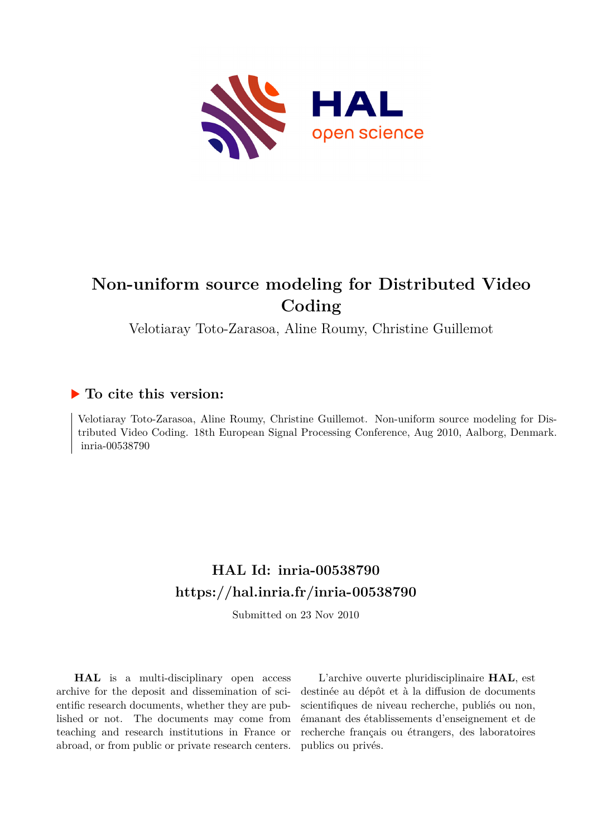

# **Non-uniform source modeling for Distributed Video Coding**

Velotiaray Toto-Zarasoa, Aline Roumy, Christine Guillemot

## **To cite this version:**

Velotiaray Toto-Zarasoa, Aline Roumy, Christine Guillemot. Non-uniform source modeling for Distributed Video Coding. 18th European Signal Processing Conference, Aug 2010, Aalborg, Denmark. inria-00538790

## **HAL Id: inria-00538790 <https://hal.inria.fr/inria-00538790>**

Submitted on 23 Nov 2010

**HAL** is a multi-disciplinary open access archive for the deposit and dissemination of scientific research documents, whether they are published or not. The documents may come from teaching and research institutions in France or abroad, or from public or private research centers.

L'archive ouverte pluridisciplinaire **HAL**, est destinée au dépôt et à la diffusion de documents scientifiques de niveau recherche, publiés ou non, émanant des établissements d'enseignement et de recherche français ou étrangers, des laboratoires publics ou privés.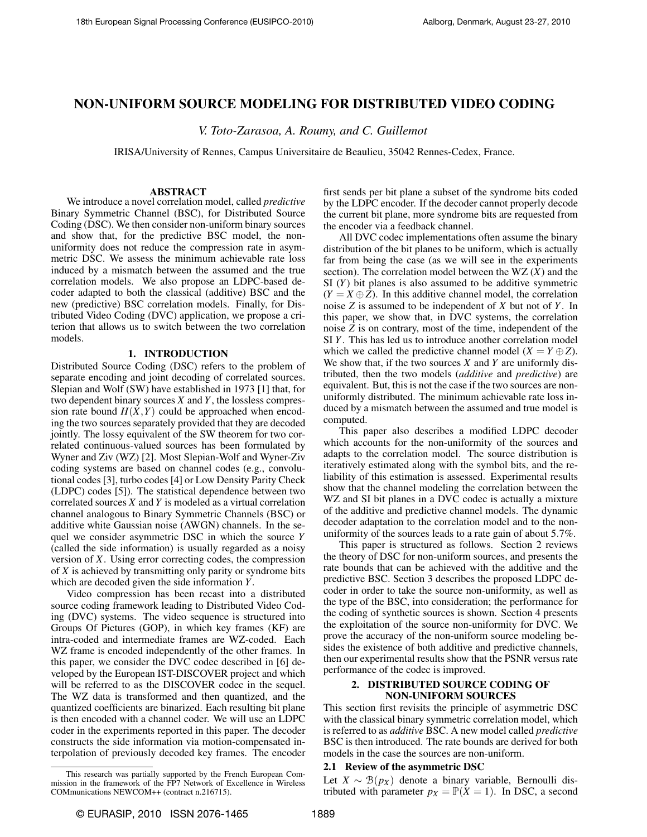## NON-UNIFORM SOURCE MODELING FOR DISTRIBUTED VIDEO CODING

*V. Toto-Zarasoa, A. Roumy, and C. Guillemot*

IRISA/University of Rennes, Campus Universitaire de Beaulieu, 35042 Rennes-Cedex, France.

#### ABSTRACT

We introduce a novel correlation model, called *predictive* Binary Symmetric Channel (BSC), for Distributed Source Coding (DSC). We then consider non-uniform binary sources and show that, for the predictive BSC model, the nonuniformity does not reduce the compression rate in asymmetric DSC. We assess the minimum achievable rate loss induced by a mismatch between the assumed and the true correlation models. We also propose an LDPC-based decoder adapted to both the classical (additive) BSC and the new (predictive) BSC correlation models. Finally, for Distributed Video Coding (DVC) application, we propose a criterion that allows us to switch between the two correlation models.

#### 1. INTRODUCTION

Distributed Source Coding (DSC) refers to the problem of separate encoding and joint decoding of correlated sources. Slepian and Wolf (SW) have established in 1973 [1] that, for two dependent binary sources *X* and *Y*, the lossless compression rate bound  $H(X, Y)$  could be approached when encoding the two sources separately provided that they are decoded jointly. The lossy equivalent of the SW theorem for two correlated continuous-valued sources has been formulated by Wyner and Ziv (WZ) [2]. Most Slepian-Wolf and Wyner-Ziv coding systems are based on channel codes (e.g., convolutional codes [3], turbo codes [4] or Low Density Parity Check (LDPC) codes [5]). The statistical dependence between two correlated sources *X* and *Y* is modeled as a virtual correlation channel analogous to Binary Symmetric Channels (BSC) or additive white Gaussian noise (AWGN) channels. In the sequel we consider asymmetric DSC in which the source *Y* (called the side information) is usually regarded as a noisy version of *X*. Using error correcting codes, the compression of *X* is achieved by transmitting only parity or syndrome bits which are decoded given the side information *Y*.

Video compression has been recast into a distributed source coding framework leading to Distributed Video Coding (DVC) systems. The video sequence is structured into Groups Of Pictures (GOP), in which key frames (KF) are intra-coded and intermediate frames are WZ-coded. Each WZ frame is encoded independently of the other frames. In this paper, we consider the DVC codec described in [6] developed by the European IST-DISCOVER project and which will be referred to as the DISCOVER codec in the sequel. The WZ data is transformed and then quantized, and the quantized coefficients are binarized. Each resulting bit plane is then encoded with a channel coder. We will use an LDPC coder in the experiments reported in this paper. The decoder constructs the side information via motion-compensated interpolation of previously decoded key frames. The encoder

This research was partially supported by the French European Commission in the framework of the FP7 Network of Excellence in Wireless COMmunications NEWCOM++ (contract n.216715).

first sends per bit plane a subset of the syndrome bits coded by the LDPC encoder. If the decoder cannot properly decode the current bit plane, more syndrome bits are requested from the encoder via a feedback channel.

All DVC codec implementations often assume the binary distribution of the bit planes to be uniform, which is actually far from being the case (as we will see in the experiments section). The correlation model between the WZ (*X*) and the SI (*Y*) bit planes is also assumed to be additive symmetric  $(Y = X \oplus Z)$ . In this additive channel model, the correlation noise *Z* is assumed to be independent of *X* but not of *Y*. In this paper, we show that, in DVC systems, the correlation noise *Z* is on contrary, most of the time, independent of the SI *Y*. This has led us to introduce another correlation model which we called the predictive channel model  $(X = Y \oplus Z)$ . We show that, if the two sources *X* and *Y* are uniformly distributed, then the two models (*additive* and *predictive*) are equivalent. But, this is not the case if the two sources are nonuniformly distributed. The minimum achievable rate loss induced by a mismatch between the assumed and true model is computed.

This paper also describes a modified LDPC decoder which accounts for the non-uniformity of the sources and adapts to the correlation model. The source distribution is iteratively estimated along with the symbol bits, and the reliability of this estimation is assessed. Experimental results show that the channel modeling the correlation between the WZ and SI bit planes in a DVC codec is actually a mixture of the additive and predictive channel models. The dynamic decoder adaptation to the correlation model and to the nonuniformity of the sources leads to a rate gain of about 5.7%.

This paper is structured as follows. Section 2 reviews the theory of DSC for non-uniform sources, and presents the rate bounds that can be achieved with the additive and the predictive BSC. Section 3 describes the proposed LDPC decoder in order to take the source non-uniformity, as well as the type of the BSC, into consideration; the performance for the coding of synthetic sources is shown. Section 4 presents the exploitation of the source non-uniformity for DVC. We prove the accuracy of the non-uniform source modeling besides the existence of both additive and predictive channels, then our experimental results show that the PSNR versus rate performance of the codec is improved.

## 2. DISTRIBUTED SOURCE CODING OF NON-UNIFORM SOURCES

This section first revisits the principle of asymmetric DSC with the classical binary symmetric correlation model, which is referred to as *additive* BSC. A new model called *predictive* BSC is then introduced. The rate bounds are derived for both models in the case the sources are non-uniform.

## 2.1 Review of the asymmetric DSC

Let *X* ∼  $\mathcal{B}(p_X)$  denote a binary variable, Bernoulli distributed with parameter  $p_X = \mathbb{P}(X = 1)$ . In DSC, a second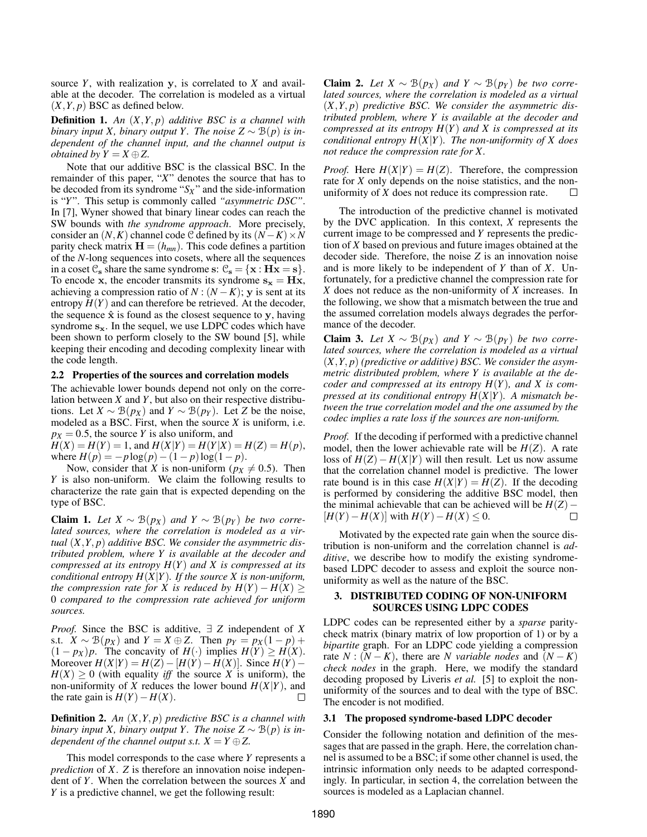source *Y*, with realization y, is correlated to *X* and available at the decoder. The correlation is modeled as a virtual  $(X, Y, p)$  BSC as defined below.

Definition 1. *An* (*X*,*Y*, *p*) *additive BSC is a channel with binary input X, binary output Y. The noise*  $Z \sim \mathcal{B}(p)$  *is independent of the channel input, and the channel output is obtained by*  $Y = X \oplus Z$ .

Note that our additive BSC is the classical BSC. In the remainder of this paper, "*X*" denotes the source that has to be decoded from its syndrome " $S_X$ " and the side-information is "*Y*". This setup is commonly called *"asymmetric DSC"*. In [7], Wyner showed that binary linear codes can reach the SW bounds with *the syndrome approach*. More precisely, consider an  $(N, K)$  channel code C defined by its  $(N - K) \times N$ parity check matrix  $\mathbf{H} = (h_{mn})$ . This code defines a partition of the *N*-long sequences into cosets, where all the sequences in a coset  $\mathcal{C}_s$  share the same syndrome s:  $\mathcal{C}_s = \{x : Hx = s\}.$ To encode x, the encoder transmits its syndrome  $s_x = Hx$ , achieving a compression ratio of  $N : (N - K)$ ; y is sent at its entropy  $H(Y)$  and can therefore be retrieved. At the decoder, the sequence  $\hat{x}$  is found as the closest sequence to y, having syndrome  $s_x$ . In the sequel, we use LDPC codes which have been shown to perform closely to the SW bound [5], while keeping their encoding and decoding complexity linear with the code length.

## 2.2 Properties of the sources and correlation models

The achievable lower bounds depend not only on the correlation between *X* and *Y*, but also on their respective distributions. Let *X* ~  $\mathcal{B}(p_X)$  and *Y* ~  $\mathcal{B}(p_Y)$ . Let *Z* be the noise, modeled as a BSC. First, when the source *X* is uniform, i.e.  $p_X = 0.5$ , the source *Y* is also uniform, and

 $H(X) = H(Y) = 1$ , and  $H(X|Y) = H(Y|X) = H(Z) = H(p)$ , where  $H(p) = -p \log(p) - (1 - p) \log(1 - p)$ .

Now, consider that *X* is non-uniform ( $p_X \neq 0.5$ ). Then *Y* is also non-uniform. We claim the following results to characterize the rate gain that is expected depending on the type of BSC.

Claim 1. *Let*  $X \sim \mathcal{B}(p_X)$  *and*  $Y \sim \mathcal{B}(p_Y)$  *be two correlated sources, where the correlation is modeled as a virtual* (*X*,*Y*, *p*) *additive BSC. We consider the asymmetric distributed problem, where Y is available at the decoder and compressed at its entropy H*(*Y*) *and X is compressed at its conditional entropy H*(*X*|*Y*)*. If the source X is non-uniform, the compression rate for X is reduced by*  $H(Y) - H(X) \ge$ 0 *compared to the compression rate achieved for uniform sources.*

*Proof.* Since the BSC is additive, ∃ *Z* independent of *X* s.t.  $X \sim \mathcal{B}(p_X)$  and  $Y = X \oplus Z$ . Then  $p_Y = p_X(1-p) +$  $(1 - px)p$ . The concavity of  $H(\cdot)$  implies  $H(Y) \ge H(X)$ . Moreover  $H(X|Y) = H(Z) - [H(Y) - H(X)]$ . Since  $H(Y) - H(Y)$  $H(X) \geq 0$  (with equality *iff* the source X is uniform), the non-uniformity of *X* reduces the lower bound  $H(X|Y)$ , and the rate gain is  $H(Y) - H(X)$ . П

Definition 2. *An* (*X*,*Y*, *p*) *predictive BSC is a channel with binary input X, binary output Y. The noise*  $Z \sim \mathcal{B}(p)$  *is independent of the channel output s.t.*  $X = Y \oplus Z$ .

This model corresponds to the case where *Y* represents a *prediction* of *X*. *Z* is therefore an innovation noise independent of *Y*. When the correlation between the sources *X* and *Y* is a predictive channel, we get the following result:

Claim 2. *Let*  $X \sim \mathcal{B}(p_X)$  *and*  $Y \sim \mathcal{B}(p_Y)$  *be two correlated sources, where the correlation is modeled as a virtual* (*X*,*Y*, *p*) *predictive BSC. We consider the asymmetric distributed problem, where Y is available at the decoder and compressed at its entropy H*(*Y*) *and X is compressed at its conditional entropy H*(*X*|*Y*)*. The non-uniformity of X does not reduce the compression rate for X.*

*Proof.* Here  $H(X|Y) = H(Z)$ . Therefore, the compression rate for *X* only depends on the noise statistics, and the nonuniformity of *X* does not reduce its compression rate. П

The introduction of the predictive channel is motivated by the DVC application. In this context, *X* represents the current image to be compressed and *Y* represents the prediction of *X* based on previous and future images obtained at the decoder side. Therefore, the noise *Z* is an innovation noise and is more likely to be independent of *Y* than of *X*. Unfortunately, for a predictive channel the compression rate for *X* does not reduce as the non-uniformity of *X* increases. In the following, we show that a mismatch between the true and the assumed correlation models always degrades the performance of the decoder.

Claim 3. *Let*  $X \sim \mathcal{B}(p_X)$  *and*  $Y \sim \mathcal{B}(p_Y)$  *be two correlated sources, where the correlation is modeled as a virtual* (*X*,*Y*, *p*) *(predictive or additive) BSC. We consider the asymmetric distributed problem, where Y is available at the decoder and compressed at its entropy H*(*Y*)*, and X is compressed at its conditional entropy H*(*X*|*Y*)*. A mismatch between the true correlation model and the one assumed by the codec implies a rate loss if the sources are non-uniform.*

*Proof.* If the decoding if performed with a predictive channel model, then the lower achievable rate will be  $H(Z)$ . A rate loss of  $H(Z) - H(X|Y)$  will then result. Let us now assume that the correlation channel model is predictive. The lower rate bound is in this case  $H(X|Y) = H(Z)$ . If the decoding is performed by considering the additive BSC model, then the minimal achievable that can be achieved will be  $H(Z) - [H(Y) - H(X)]$  with  $H(Y) - H(X) \le 0$ . □  $[H(Y) - H(X)]$  with  $H(Y) - H(X)$  ≤ 0.

Motivated by the expected rate gain when the source distribution is non-uniform and the correlation channel is *additive*, we describe how to modify the existing syndromebased LDPC decoder to assess and exploit the source nonuniformity as well as the nature of the BSC.

#### 3. DISTRIBUTED CODING OF NON-UNIFORM SOURCES USING LDPC CODES

LDPC codes can be represented either by a *sparse* paritycheck matrix (binary matrix of low proportion of 1) or by a *bipartite* graph. For an LDPC code yielding a compression rate  $N : (N - K)$ , there are *N variable nodes* and  $(N - K)$ *check nodes* in the graph. Here, we modify the standard decoding proposed by Liveris *et al.* [5] to exploit the nonuniformity of the sources and to deal with the type of BSC. The encoder is not modified.

#### 3.1 The proposed syndrome-based LDPC decoder

Consider the following notation and definition of the messages that are passed in the graph. Here, the correlation channel is assumed to be a BSC; if some other channel is used, the intrinsic information only needs to be adapted correspondingly. In particular, in section 4, the correlation between the sources is modeled as a Laplacian channel.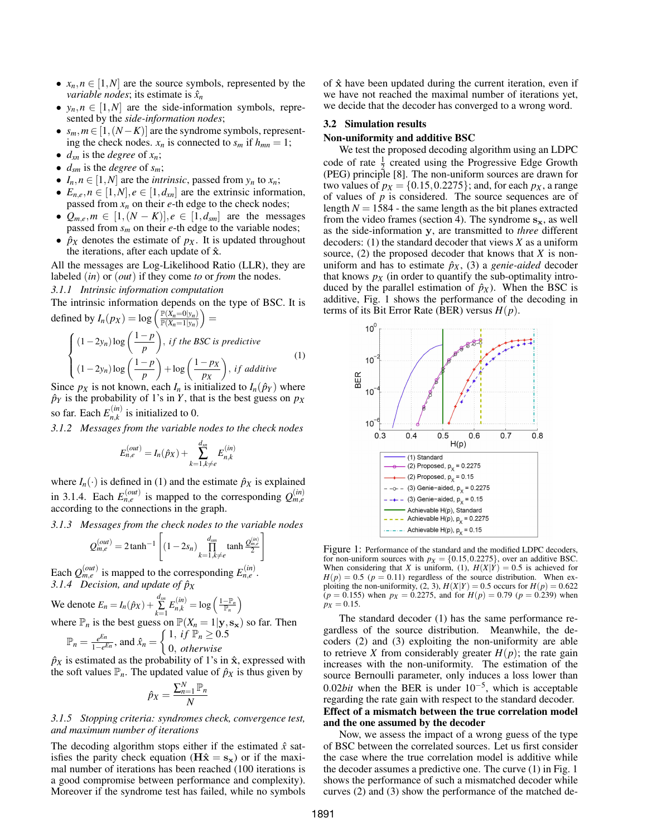- $x_n, n \in [1, N]$  are the source symbols, represented by the *variable nodes*; its estimate is  $\hat{x}_n$
- $y_n, n \in [1, N]$  are the side-information symbols, represented by the *side-information nodes*;
- $s_m, m \in [1, (N K)]$  are the syndrome symbols, representing the check nodes.  $x_n$  is connected to  $s_m$  if  $h_{mn} = 1$ ;
- $d_{xn}$  is the *degree* of  $x_n$ ;
- $\bullet$  *d*<sub>sm</sub> is the *degree* of *s<sub>m</sub>*;
- $I_n, n \in [1, N]$  are the *intrinsic*, passed from  $y_n$  to  $x_n$ ;
- $E_{n,e}, n \in [1,N], e \in [1,d_{xn}]$  are the extrinsic information, passed from *x<sup>n</sup>* on their *e*-th edge to the check nodes;
- $Q_{m,e}, m \in [1, (N-K)], e \in [1, d_{sm}]$  are the messages passed from *s<sup>m</sup>* on their *e*-th edge to the variable nodes;
- $\hat{p}_X$  denotes the estimate of  $p_X$ . It is updated throughout the iterations, after each update of  $\hat{\mathbf{x}}$ .

All the messages are Log-Likelihood Ratio (LLR), they are labeled (*in*) or (*out*) if they come *to* or *from* the nodes. *3.1.1 Intrinsic information computation*

The intrinsic information depends on the type of BSC. It is defined by  $I_n(p_X) = \log \left( \frac{\mathbb{P}(X_n=0|y_n)}{\mathbb{P}(X_n=1|y_n)} \right)$  $\frac{\mathbb{P}(X_n=0|y_n)}{\mathbb{P}(X_n=1|y_n)}$  =

$$
\begin{cases}\n(1-2y_n)\log\left(\frac{1-p}{p}\right), & \text{if the BSC is predictive} \\
(1-2y_n)\log\left(\frac{1-p}{p}\right) + \log\left(\frac{1-px}{px}\right), & \text{if additive}\n\end{cases}
$$
\n(1)

Since  $p_X$  is not known, each  $I_n$  is initialized to  $I_n(\hat{p}_Y)$  where  $\hat{p}_Y$  is the probability of 1's in *Y*, that is the best guess on  $p_X$ so far. Each  $E_{n,k}^{(in)}$  $n_{n,k}^{(m)}$  is initialized to 0.

*3.1.2 Messages from the variable nodes to the check nodes*

$$
E_{n,e}^{(out)} = I_n(\hat{p}_X) + \sum_{k=1, k \neq e}^{d_{xn}} E_{n,k}^{(in)}
$$

where  $I_n(\cdot)$  is defined in (1) and the estimate  $\hat{p}_X$  is explained in 3.1.4. Each  $E_{n,e}^{(out)}$  is mapped to the corresponding  $Q_{m,e}^{(in)}$ according to the connections in the graph.

*3.1.3 Messages from the check nodes to the variable nodes*

1

$$
Q_{m,e}^{(out)} = 2 \tanh^{-1} \left[ (1 - 2s_n) \prod_{k=1, k \neq e}^{d_{sm}} \tanh \frac{Q_{m,e}^{(in)}}{2} \right]
$$

Each  $Q_{m,e}^{(out)}$  is mapped to the corresponding  $E_{n,e}^{(in)}$ . *3.1.4 Decision, and update of*  $\hat{p}_X$ 

We denote 
$$
E_n = I_n(\hat{p}_X) + \sum_{k=1}^{d_{xn}} E_{n,k}^{(in)} = \log \left( \frac{1 - \mathbb{P}_n}{\mathbb{P}_n} \right)
$$

where  $\mathbb{P}_n$  is the best guess on  $\mathbb{P}(X_n = 1 | \mathbf{y}, \mathbf{s}_\mathbf{x})$  so far. Then

$$
\mathbb{P}_n = \frac{e^{En}}{1 - e^{En}}, \text{ and } \hat{x}_n = \begin{cases} 1, & \text{if } \mathbb{P}_n \ge 0.5 \\ 0, & \text{otherwise} \end{cases}
$$

 $\hat{p}_X$  is estimated as the probability of 1's in  $\hat{x}$ , expressed with the soft values  $\mathbb{P}_n$ . The updated value of  $\hat{p}_X$  is thus given by

$$
\hat{p}_X = \frac{\sum_{n=1}^N \mathbb{P}_n}{N}
$$

### *3.1.5 Stopping criteria: syndromes check, convergence test, and maximum number of iterations*

The decoding algorithm stops either if the estimated  $\hat{x}$  satisfies the parity check equation ( $\mathbf{H}\hat{\mathbf{x}} = \mathbf{s_x}$ ) or if the maximal number of iterations has been reached (100 iterations is a good compromise between performance and complexity). Moreover if the syndrome test has failed, while no symbols of  $\hat{x}$  have been updated during the current iteration, even if we have not reached the maximal number of iterations yet, we decide that the decoder has converged to a wrong word.

## 3.2 Simulation results

### Non-uniformity and additive BSC

We test the proposed decoding algorithm using an LDPC code of rate  $\frac{1}{2}$  created using the Progressive Edge Growth (PEG) principle [8]. The non-uniform sources are drawn for two values of  $p_X = \{0.15, 0.2275\}$ ; and, for each  $p_X$ , a range of values of *p* is considered. The source sequences are of length  $N = 1584$  - the same length as the bit planes extracted from the video frames (section 4). The syndrome  $s_x$ , as well as the side-information y, are transmitted to *three* different decoders: (1) the standard decoder that views *X* as a uniform source, (2) the proposed decoder that knows that *X* is nonuniform and has to estimate  $\hat{p}_X$ , (3) a *genie-aided* decoder that knows  $p_X$  (in order to quantify the sub-optimality introduced by the parallel estimation of  $\hat{p}_X$ ). When the BSC is additive, Fig. 1 shows the performance of the decoding in terms of its Bit Error Rate (BER) versus  $H(p)$ .



Figure 1: Performance of the standard and the modified LDPC decoders, for non-uniform sources with  $p_X = \{0.15, 0.2275\}$ , over an additive BSC.<br>When considering that *X* is uniform, (1),  $H(X|Y) = 0.5$  is achieved for  $H(p) = 0.5$  ( $p = 0.11$ ) regardless of the source distribution. When exploiting the non-uniformity, (2, 3),  $H(X|Y) = 0.5$  occurs for  $H(p) = 0.622$  $(p = 0.155)$  when  $p_X = 0.2275$ , and for  $H(p) = 0.79$   $(p = 0.239)$  when  $p_X = 0.15$ .

The standard decoder (1) has the same performance regardless of the source distribution. Meanwhile, the decoders (2) and (3) exploiting the non-uniformity are able to retrieve *X* from considerably greater  $H(p)$ ; the rate gain increases with the non-uniformity. The estimation of the source Bernoulli parameter, only induces a loss lower than 0.02*bit* when the BER is under 10−<sup>5</sup> , which is acceptable regarding the rate gain with respect to the standard decoder. Effect of a mismatch between the true correlation model and the one assumed by the decoder

Now, we assess the impact of a wrong guess of the type of BSC between the correlated sources. Let us first consider the case where the true correlation model is additive while the decoder assumes a predictive one. The curve (1) in Fig. 1 shows the performance of such a mismatched decoder while curves (2) and (3) show the performance of the matched de-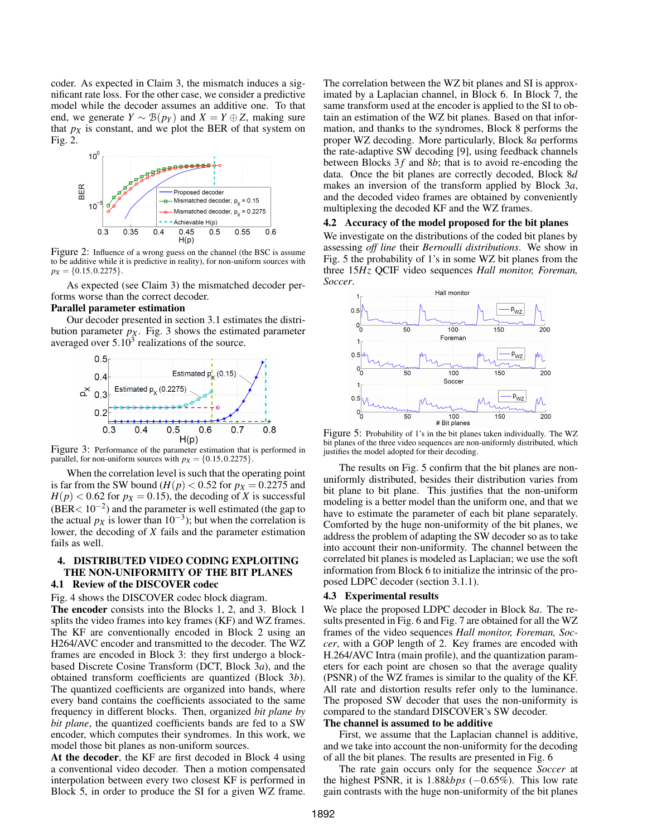coder. As expected in Claim 3, the mismatch induces a significant rate loss. For the other case, we consider a predictive model while the decoder assumes an additive one. To that end, we generate  $Y \sim \mathcal{B}(p_Y)$  and  $X = Y \oplus Z$ , making sure that  $p_X$  is constant, and we plot the BER of that system on Fig. 2.



Figure 2: Influence of a wrong guess on the channel (the BSC is assume to be additive while it is predictive in reality), for non-uniform sources with  $p_X = \{0.15, 0.2275\}.$ 

As expected (see Claim 3) the mismatched decoder performs worse than the correct decoder.

#### Parallel parameter estimation

Our decoder presented in section 3.1 estimates the distribution parameter  $p_X$ . Fig. 3 shows the estimated parameter averaged over  $5.10^3$  realizations of the source.



Figure 3: Performance of the parameter estimation that is performed in parallel, for non-uniform sources with  $p_X = \{0.15, 0.2275\}.$ 

When the correlation level is such that the operating point is far from the SW bound  $(H(p) < 0.52$  for  $p_X = 0.2275$  and  $H(p) < 0.62$  for  $p_X = 0.15$ ), the decoding of *X* is successful  $(BER < 10^{-2})$  and the parameter is well estimated (the gap to the actual  $p_X$  is lower than 10<sup>-3</sup>); but when the correlation is lower, the decoding of *X* fails and the parameter estimation fails as well.

## 4. DISTRIBUTED VIDEO CODING EXPLOITING THE NON-UNIFORMITY OF THE BIT PLANES

## 4.1 Review of the DISCOVER codec

Fig. 4 shows the DISCOVER codec block diagram.

The encoder consists into the Blocks 1, 2, and 3. Block 1 splits the video frames into key frames (KF) and WZ frames. The KF are conventionally encoded in Block 2 using an H264/AVC encoder and transmitted to the decoder. The WZ frames are encoded in Block 3: they first undergo a blockbased Discrete Cosine Transform (DCT, Block 3*a*), and the obtained transform coefficients are quantized (Block 3*b*). The quantized coefficients are organized into bands, where every band contains the coefficients associated to the same frequency in different blocks. Then, organized *bit plane by bit plane*, the quantized coefficients bands are fed to a SW encoder, which computes their syndromes. In this work, we model those bit planes as non-uniform sources.

At the decoder, the KF are first decoded in Block 4 using a conventional video decoder. Then a motion compensated interpolation between every two closest KF is performed in Block 5, in order to produce the SI for a given WZ frame. The correlation between the WZ bit planes and SI is approximated by a Laplacian channel, in Block 6. In Block 7, the same transform used at the encoder is applied to the SI to obtain an estimation of the WZ bit planes. Based on that information, and thanks to the syndromes, Block 8 performs the proper WZ decoding. More particularly, Block 8*a* performs the rate-adaptive SW decoding [9], using feedback channels between Blocks  $3f$  and  $8b$ ; that is to avoid re-encoding the data. Once the bit planes are correctly decoded, Block 8*d* makes an inversion of the transform applied by Block 3*a*, and the decoded video frames are obtained by conveniently multiplexing the decoded KF and the WZ frames.

#### 4.2 Accuracy of the model proposed for the bit planes

We investigate on the distributions of the coded bit planes by assessing *off line* their *Bernoulli distributions*. We show in Fig. 5 the probability of 1's in some WZ bit planes from the three 15*Hz* QCIF video sequences *Hall monitor, Foreman, Soccer*.



Figure 5: Probability of 1's in the bit planes taken individually. The WZ bit planes of the three video sequences are non-uniformly distributed, which justifies the model adopted for their decoding.

The results on Fig. 5 confirm that the bit planes are nonuniformly distributed, besides their distribution varies from bit plane to bit plane. This justifies that the non-uniform modeling is a better model than the uniform one, and that we have to estimate the parameter of each bit plane separately. Comforted by the huge non-uniformity of the bit planes, we address the problem of adapting the SW decoder so as to take into account their non-uniformity. The channel between the correlated bit planes is modeled as Laplacian; we use the soft information from Block 6 to initialize the intrinsic of the proposed LDPC decoder (section 3.1.1).

#### 4.3 Experimental results

We place the proposed LDPC decoder in Block 8*a*. The results presented in Fig. 6 and Fig. 7 are obtained for all the WZ frames of the video sequences *Hall monitor, Foreman, Soccer*, with a GOP length of 2. Key frames are encoded with H.264/AVC Intra (main profile), and the quantization parameters for each point are chosen so that the average quality (PSNR) of the WZ frames is similar to the quality of the KF. All rate and distortion results refer only to the luminance. The proposed SW decoder that uses the non-uniformity is compared to the standard DISCOVER's SW decoder.

## The channel is assumed to be additive

First, we assume that the Laplacian channel is additive, and we take into account the non-uniformity for the decoding of all the bit planes. The results are presented in Fig. 6

The rate gain occurs only for the sequence *Soccer* at the highest PSNR, it is 1.88*kbps* (−0.65%). This low rate gain contrasts with the huge non-uniformity of the bit planes